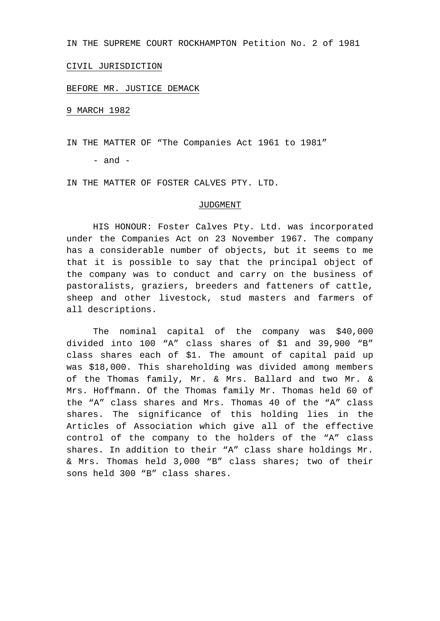IN THE SUPREME COURT ROCKHAMPTON Petition No. 2 of 1981

## CIVIL JURISDICTION

## BEFORE MR. JUSTICE DEMACK

9 MARCH 1982

IN THE MATTER OF "The Companies Act 1961 to 1981"

 $-$  and  $-$ 

IN THE MATTER OF FOSTER CALVES PTY. LTD.

## JUDGMENT

HIS HONOUR: Foster Calves Pty. Ltd. was incorporated under the Companies Act on 23 November 1967. The company has a considerable number of objects, but it seems to me that it is possible to say that the principal object of the company was to conduct and carry on the business of pastoralists, graziers, breeders and fatteners of cattle, sheep and other livestock, stud masters and farmers of all descriptions.

The nominal capital of the company was \$40,000 divided into 100 "A" class shares of \$1 and 39,900 "B" class shares each of \$1. The amount of capital paid up was \$18,000. This shareholding was divided among members of the Thomas family, Mr. & Mrs. Ballard and two Mr. & Mrs. Hoffmann. Of the Thomas family Mr. Thomas held 60 of the "A" class shares and Mrs. Thomas 40 of the "A" class shares. The significance of this holding lies in the Articles of Association which give all of the effective control of the company to the holders of the "A" class shares. In addition to their "A" class share holdings Mr. & Mrs. Thomas held 3,000 "B" class shares; two of their sons held 300 "B" class shares.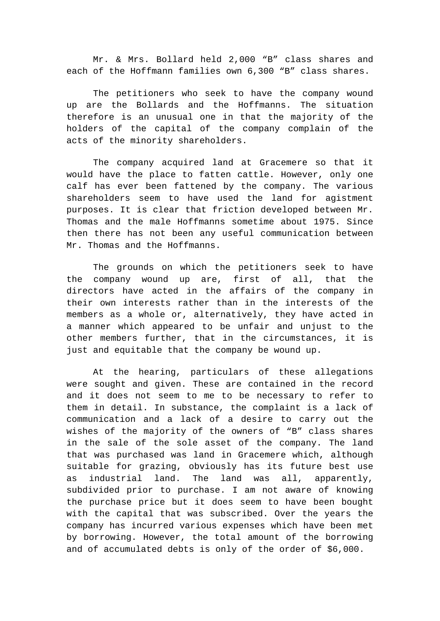Mr. & Mrs. Bollard held 2,000 "B" class shares and each of the Hoffmann families own 6,300 "B" class shares.

The petitioners who seek to have the company wound up are the Bollards and the Hoffmanns. The situation therefore is an unusual one in that the majority of the holders of the capital of the company complain of the acts of the minority shareholders.

The company acquired land at Gracemere so that it would have the place to fatten cattle. However, only one calf has ever been fattened by the company. The various shareholders seem to have used the land for agistment purposes. It is clear that friction developed between Mr. Thomas and the male Hoffmanns sometime about 1975. Since then there has not been any useful communication between Mr. Thomas and the Hoffmanns.

The grounds on which the petitioners seek to have the company wound up are, first of all, that the directors have acted in the affairs of the company in their own interests rather than in the interests of the members as a whole or, alternatively, they have acted in a manner which appeared to be unfair and unjust to the other members further, that in the circumstances, it is just and equitable that the company be wound up.

At the hearing, particulars of these allegations were sought and given. These are contained in the record and it does not seem to me to be necessary to refer to them in detail. In substance, the complaint is a lack of communication and a lack of a desire to carry out the wishes of the majority of the owners of "B" class shares in the sale of the sole asset of the company. The land that was purchased was land in Gracemere which, although suitable for grazing, obviously has its future best use as industrial land. The land was all, apparently, subdivided prior to purchase. I am not aware of knowing the purchase price but it does seem to have been bought with the capital that was subscribed. Over the years the company has incurred various expenses which have been met by borrowing. However, the total amount of the borrowing and of accumulated debts is only of the order of \$6,000.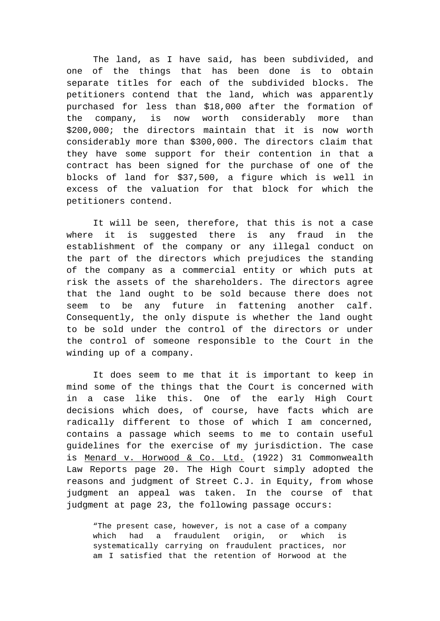The land, as I have said, has been subdivided, and one of the things that has been done is to obtain separate titles for each of the subdivided blocks. The petitioners contend that the land, which was apparently purchased for less than \$18,000 after the formation of the company, is now worth considerably more than \$200,000; the directors maintain that it is now worth considerably more than \$300,000. The directors claim that they have some support for their contention in that a contract has been signed for the purchase of one of the blocks of land for \$37,500, a figure which is well in excess of the valuation for that block for which the petitioners contend.

It will be seen, therefore, that this is not a case where it is suggested there is any fraud in the establishment of the company or any illegal conduct on the part of the directors which prejudices the standing of the company as a commercial entity or which puts at risk the assets of the shareholders. The directors agree that the land ought to be sold because there does not seem to be any future in fattening another calf. Consequently, the only dispute is whether the land ought to be sold under the control of the directors or under the control of someone responsible to the Court in the winding up of a company.

It does seem to me that it is important to keep in mind some of the things that the Court is concerned with in a case like this. One of the early High Court decisions which does, of course, have facts which are radically different to those of which I am concerned, contains a passage which seems to me to contain useful guidelines for the exercise of my jurisdiction. The case is Menard v. Horwood & Co. Ltd. (1922) 31 Commonwealth Law Reports page 20. The High Court simply adopted the reasons and judgment of Street C.J. in Equity, from whose judgment an appeal was taken. In the course of that judgment at page 23, the following passage occurs:

"The present case, however, is not a case of a company which had a fraudulent origin, or which is systematically carrying on fraudulent practices, nor am I satisfied that the retention of Horwood at the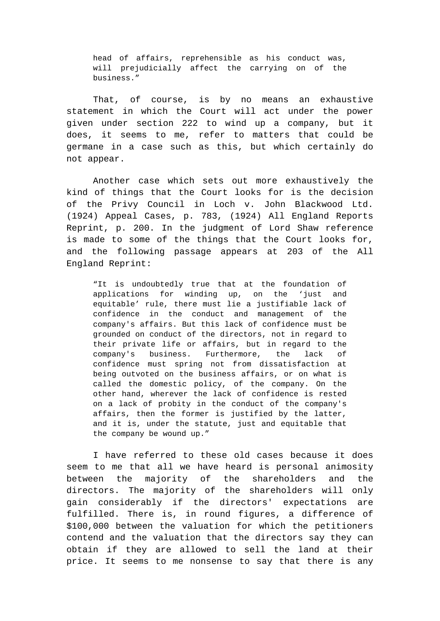head of affairs, reprehensible as his conduct was, will prejudicially affect the carrying on of the business."

That, of course, is by no means an exhaustive statement in which the Court will act under the power given under section 222 to wind up a company, but it does, it seems to me, refer to matters that could be germane in a case such as this, but which certainly do not appear.

Another case which sets out more exhaustively the kind of things that the Court looks for is the decision of the Privy Council in Loch v. John Blackwood Ltd. (1924) Appeal Cases, p. 783, (1924) All England Reports Reprint, p. 200. In the judgment of Lord Shaw reference is made to some of the things that the Court looks for, and the following passage appears at 203 of the All England Reprint:

"It is undoubtedly true that at the foundation of applications for winding up, on the 'just and equitable' rule, there must lie a justifiable lack of confidence in the conduct and management of the company's affairs. But this lack of confidence must be grounded on conduct of the directors, not in regard to their private life or affairs, but in regard to the company's business. Furthermore, the lack of confidence must spring not from dissatisfaction at being outvoted on the business affairs, or on what is called the domestic policy, of the company. On the other hand, wherever the lack of confidence is rested on a lack of probity in the conduct of the company's affairs, then the former is justified by the latter, and it is, under the statute, just and equitable that the company be wound up."

I have referred to these old cases because it does seem to me that all we have heard is personal animosity between the majority of the shareholders and the directors. The majority of the shareholders will only gain considerably if the directors' expectations are fulfilled. There is, in round figures, a difference of \$100,000 between the valuation for which the petitioners contend and the valuation that the directors say they can obtain if they are allowed to sell the land at their price. It seems to me nonsense to say that there is any